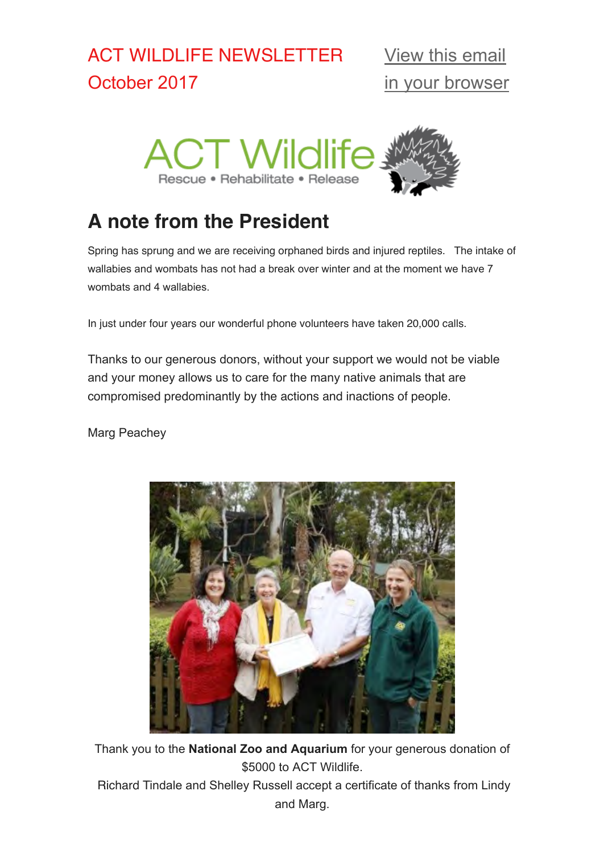# ACT WILDLIFE NEWSLETTER October 2017



# **A note from the President**

Spring has sprung and we are receiving orphaned birds and injured reptiles. The intake of wallabies and wombats has not had a break over winter and at the moment we have 7 wombats and 4 wallabies.

In just under four years our wonderful phone volunteers have taken 20,000 calls.

Thanks to our generous donors, without your support we would not be viable and your money allows us to care for the many native animals that are compromised predominantly by the actions and inactions of people.

Marg Peachey



Thank you to the **National Zoo and Aquarium** for your generous donation of \$5000 to ACT Wildlife.

 Richard Tindale and Shelley Russell accept a certificate of thanks from Lindy and Marg.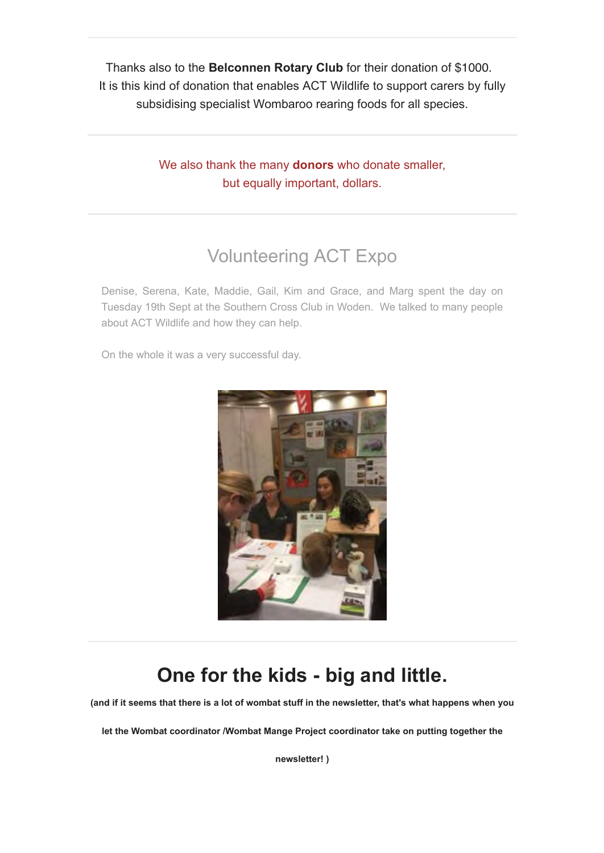Thanks also to the **Belconnen Rotary Club** for their donation of \$1000. It is this kind of donation that enables ACT Wildlife to support carers by fully subsidising specialist Wombaroo rearing foods for all species.

> We also thank the many **donors** who donate smaller, but equally important, dollars.

# Volunteering ACT Expo

Denise, Serena, Kate, Maddie, Gail, Kim and Grace, and Marg spent the day on Tuesday 19th Sept at the Southern Cross Club in Woden. We talked to many people about ACT Wildlife and how they can help.

On the whole it was a very successful day.



# **One for the kids - big and little.**

**(and if it seems that there is a lot of wombat stuff in the newsletter, that's what happens when you**

**let the Wombat coordinator /Wombat Mange Project coordinator take on putting together the**

**newsletter! )**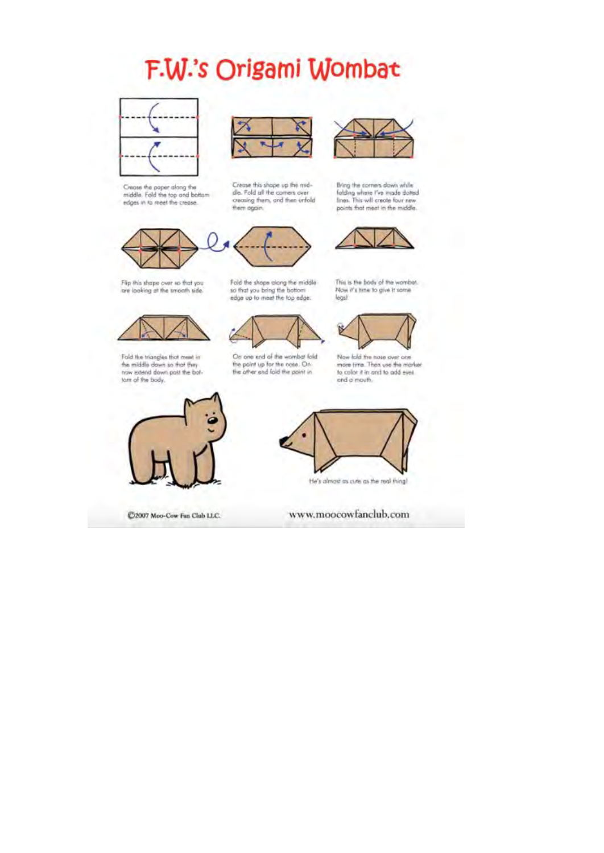# F.W.'s Origami Wombat



Croase the paper along the middle. Fold the top and bottom



Crease this shape up the mid-

de. Fold all the comers over

them again.



Bring the comers down while folding where I've made dotted points that meet in the middle.



Flip this shape over so that you<br>are looking at the smooth side.

Fold the shope along the middle so that you bring the battom edge up to meet the top edge.



Now it's time to give it some legs!

This is the body of the womber.



Fold the triangles that ment in<br>the middle down so that they<br>now edend down patt the bottom of the body.

On one end of the wombat fold the point up for the note. On the other end fold the point in

Now fold the nose over one more time. Then use the marker to color it in ond to add eyes ond a mouth.



C2007 Moo-Cow Fan Club LLC.



the's almost as cuts as the real thing!

www.moocowfanclub.com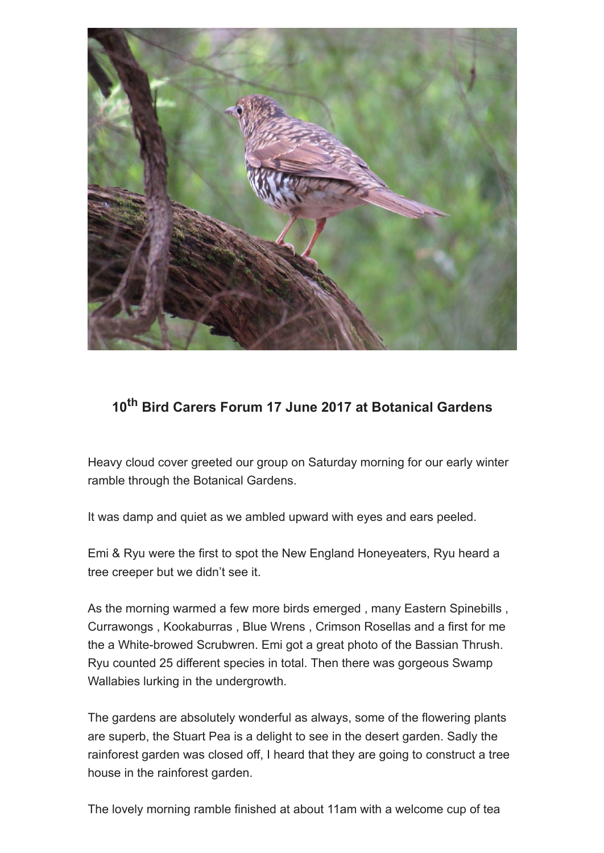

#### **10th Bird Carers Forum 17 June 2017 at Botanical Gardens**

Heavy cloud cover greeted our group on Saturday morning for our early winter ramble through the Botanical Gardens.

It was damp and quiet as we ambled upward with eyes and ears peeled.

Emi & Ryu were the first to spot the New England Honeyeaters, Ryu heard a tree creeper but we didn't see it.

As the morning warmed a few more birds emerged , many Eastern Spinebills , Currawongs , Kookaburras , Blue Wrens , Crimson Rosellas and a first for me the a White-browed Scrubwren. Emi got a great photo of the Bassian Thrush. Ryu counted 25 different species in total. Then there was gorgeous Swamp Wallabies lurking in the undergrowth.

The gardens are absolutely wonderful as always, some of the flowering plants are superb, the Stuart Pea is a delight to see in the desert garden. Sadly the rainforest garden was closed off, I heard that they are going to construct a tree house in the rainforest garden.

The lovely morning ramble finished at about 11am with a welcome cup of tea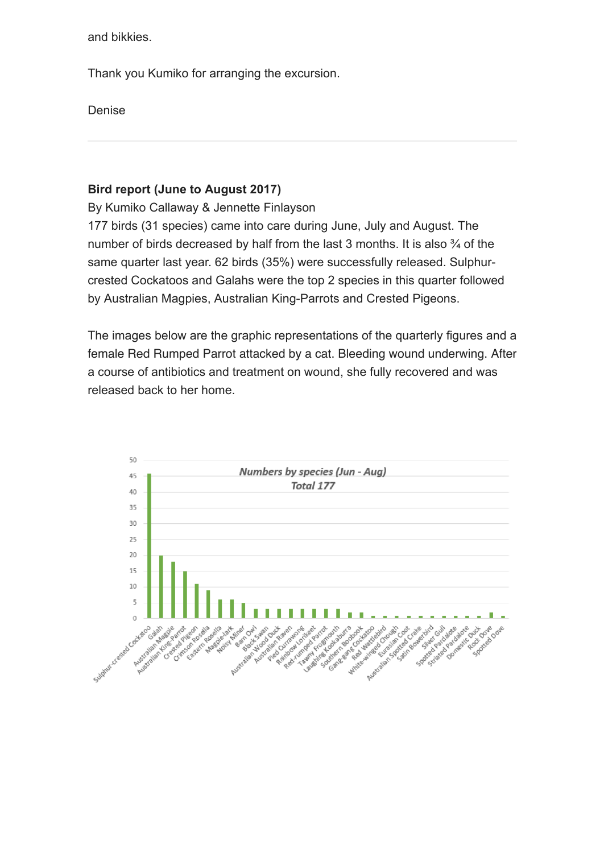and bikkies.

Thank you Kumiko for arranging the excursion.

Denise

#### **Bird report (June to August 2017)**

By Kumiko Callaway & Jennette Finlayson

177 birds (31 species) came into care during June, July and August. The number of birds decreased by half from the last 3 months. It is also 3/4 of the same quarter last year. 62 birds (35%) were successfully released. Sulphurcrested Cockatoos and Galahs were the top 2 species in this quarter followed by Australian Magpies, Australian King-Parrots and Crested Pigeons.

The images below are the graphic representations of the quarterly figures and a female Red Rumped Parrot attacked by a cat. Bleeding wound underwing. After a course of antibiotics and treatment on wound, she fully recovered and was released back to her home.

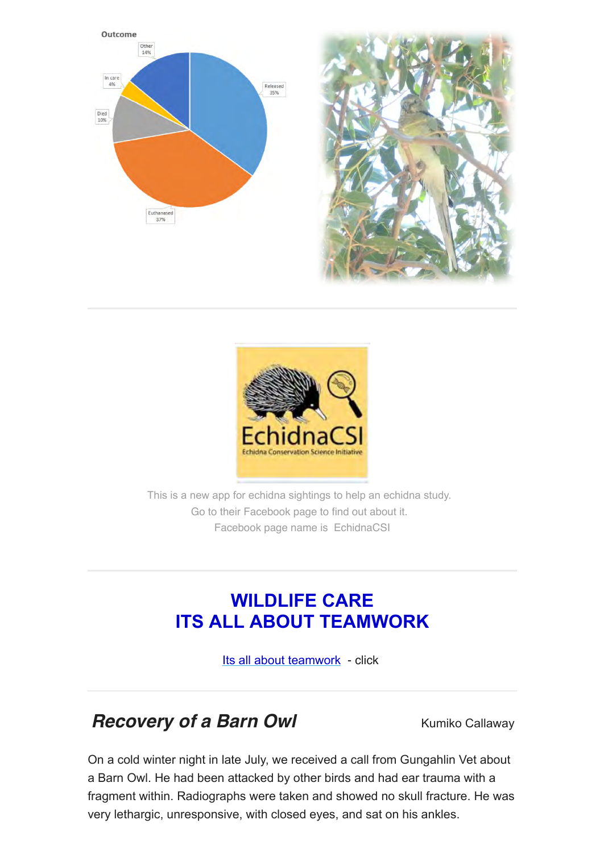





This is a new app for echidna sightings to help an echidna study. Go to their Facebook page to find out about it. Facebook page name is EchidnaCSI

### **WILDLIFE CARE ITS ALL ABOUT TEAMWORK**

[Its all about teamwork](https://gallery.mailchimp.com/c99d87be8508f805f552cf825/files/27d4c33d-8ef9-4a9b-a2c1-a49a68ed446a/teamwork.pdf) - click

### *Recovery of a Barn Owl Kumiko Callaway*

On a cold winter night in late July, we received a call from Gungahlin Vet about a Barn Owl. He had been attacked by other birds and had ear trauma with a fragment within. Radiographs were taken and showed no skull fracture. He was very lethargic, unresponsive, with closed eyes, and sat on his ankles.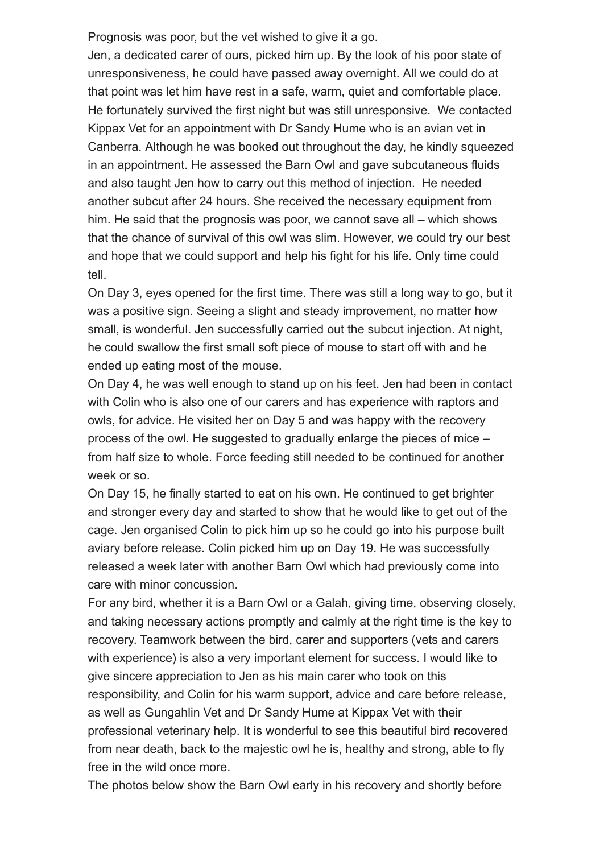Prognosis was poor, but the vet wished to give it a go.

Jen, a dedicated carer of ours, picked him up. By the look of his poor state of unresponsiveness, he could have passed away overnight. All we could do at that point was let him have rest in a safe, warm, quiet and comfortable place. He fortunately survived the first night but was still unresponsive. We contacted Kippax Vet for an appointment with Dr Sandy Hume who is an avian vet in Canberra. Although he was booked out throughout the day, he kindly squeezed in an appointment. He assessed the Barn Owl and gave subcutaneous fluids and also taught Jen how to carry out this method of injection. He needed another subcut after 24 hours. She received the necessary equipment from him. He said that the prognosis was poor, we cannot save all – which shows that the chance of survival of this owl was slim. However, we could try our best and hope that we could support and help his fight for his life. Only time could tell.

On Day 3, eyes opened for the first time. There was still a long way to go, but it was a positive sign. Seeing a slight and steady improvement, no matter how small, is wonderful. Jen successfully carried out the subcut injection. At night, he could swallow the first small soft piece of mouse to start off with and he ended up eating most of the mouse.

On Day 4, he was well enough to stand up on his feet. Jen had been in contact with Colin who is also one of our carers and has experience with raptors and owls, for advice. He visited her on Day 5 and was happy with the recovery process of the owl. He suggested to gradually enlarge the pieces of mice – from half size to whole. Force feeding still needed to be continued for another week or so.

On Day 15, he finally started to eat on his own. He continued to get brighter and stronger every day and started to show that he would like to get out of the cage. Jen organised Colin to pick him up so he could go into his purpose built aviary before release. Colin picked him up on Day 19. He was successfully released a week later with another Barn Owl which had previously come into care with minor concussion.

For any bird, whether it is a Barn Owl or a Galah, giving time, observing closely, and taking necessary actions promptly and calmly at the right time is the key to recovery. Teamwork between the bird, carer and supporters (vets and carers with experience) is also a very important element for success. I would like to give sincere appreciation to Jen as his main carer who took on this responsibility, and Colin for his warm support, advice and care before release, as well as Gungahlin Vet and Dr Sandy Hume at Kippax Vet with their professional veterinary help. It is wonderful to see this beautiful bird recovered from near death, back to the majestic owl he is, healthy and strong, able to fly free in the wild once more.

The photos below show the Barn Owl early in his recovery and shortly before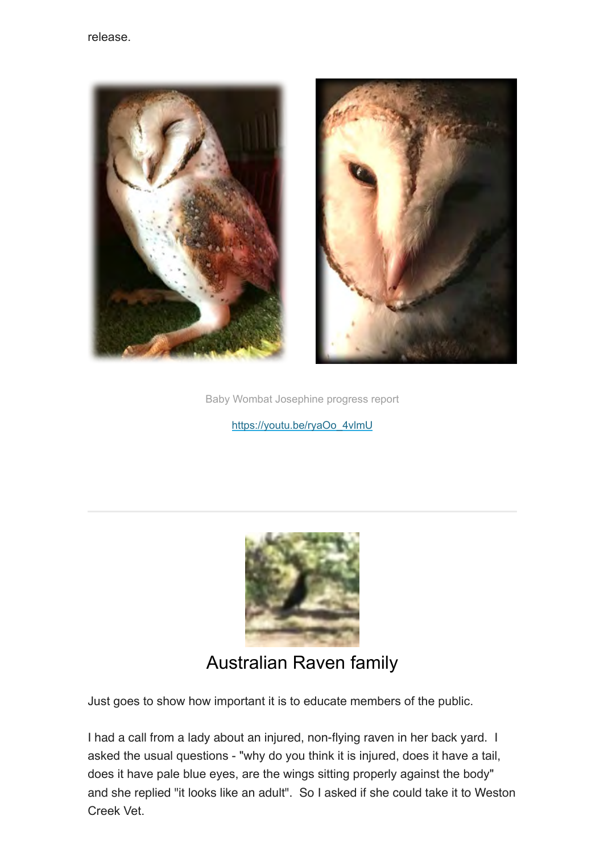



Baby Wombat Josephine progress report

[https://youtu.be/ryaOo\\_4vlmU](https://youtu.be/ryaOo_4vlmU)



#### Australian Raven family

Just goes to show how important it is to educate members of the public.

I had a call from a lady about an injured, non-flying raven in her back yard. I asked the usual questions - "why do you think it is injured, does it have a tail, does it have pale blue eyes, are the wings sitting properly against the body" and she replied "it looks like an adult". So I asked if she could take it to Weston Creek Vet.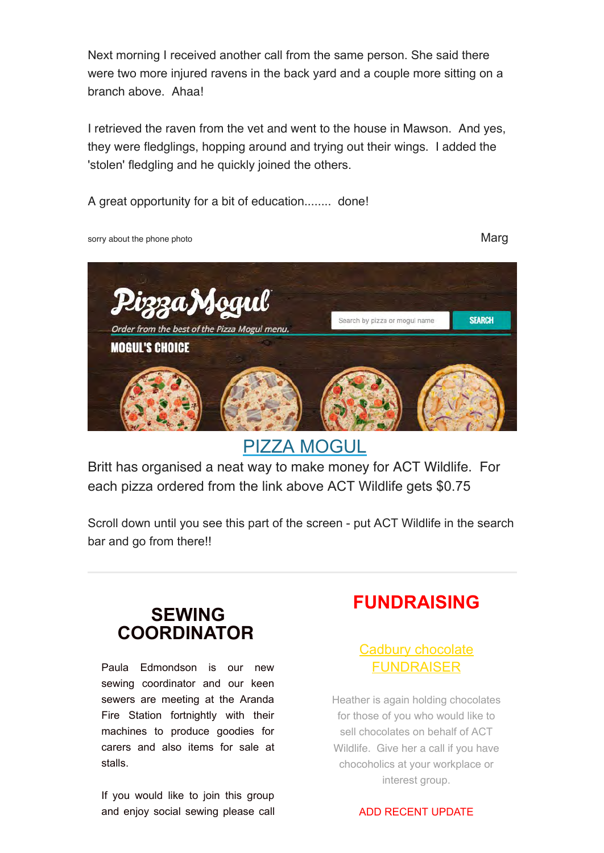Next morning I received another call from the same person. She said there were two more injured ravens in the back yard and a couple more sitting on a branch above. Ahaa!

I retrieved the raven from the vet and went to the house in Mawson. And yes, they were fledglings, hopping around and trying out their wings. I added the 'stolen' fledgling and he quickly joined the others.

A great opportunity for a bit of education........ done!

sorry about the phone photo **Marg** 



[PIZZA MOGUL](https://internetorder.dominos.com.au/estore/en/ProductMenu)

Britt has organised a neat way to make money for ACT Wildlife. For each pizza ordered from the link above ACT Wildlife gets \$0.75

Scroll down until you see this part of the screen - put ACT Wildlife in the search bar and go from there!!

#### **SEWING COORDINATOR**

Paula Edmondson is our new sewing coordinator and our keen sewers are meeting at the Aranda Fire Station fortnightly with their machines to produce goodies for carers and also items for sale at stalls.

If you would like to join this group and enjoy social sewing please call

## **FUNDRAISING**

#### Cadbury chocolate FUNDRAISER

Heather is again holding chocolates for those of you who would like to sell chocolates on behalf of ACT Wildlife. Give her a call if you have chocoholics at your workplace or interest group.

#### ADD RECENT UPDATE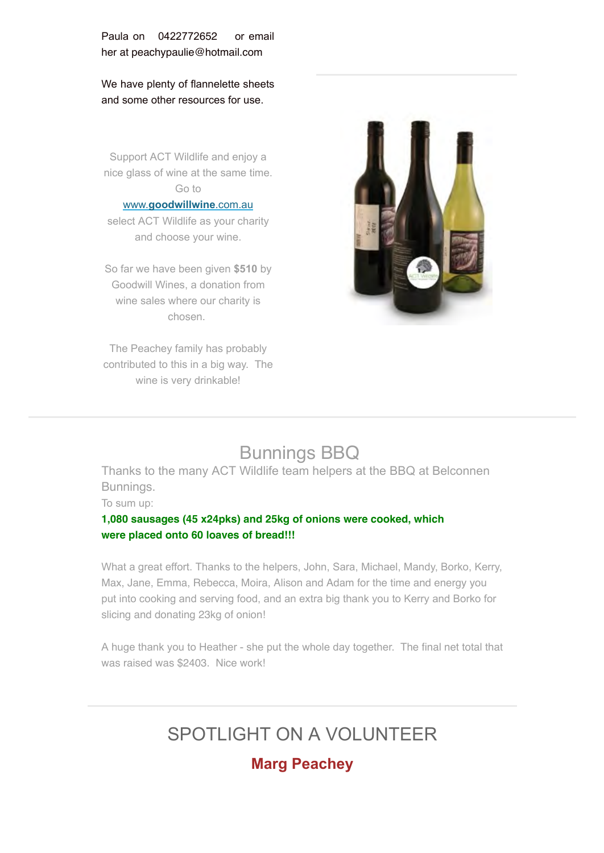Paula on 0422772652 or email her at peachypaulie@hotmail.com

We have plenty of flannelette sheets and some other resources for use.

Support ACT Wildlife and enjoy a nice glass of wine at the same time. Go to

#### www.**[goodwillwine](http://www.goodwillwine.com.au/)**.com.au

select ACT Wildlife as your charity and choose your wine.

So far we have been given **\$510** by Goodwill Wines, a donation from wine sales where our charity is chosen.

The Peachey family has probably contributed to this in a big way. The wine is very drinkable!



### Bunnings BBQ

Thanks to the many ACT Wildlife team helpers at the BBQ at Belconnen Bunnings.

To sum up:

#### **1,080 sausages (45 x24pks) and 25kg of onions were cooked, which were placed onto 60 loaves of bread!!!**

What a great effort. Thanks to the helpers, John, Sara, Michael, Mandy, Borko, Kerry, Max, Jane, Emma, Rebecca, Moira, Alison and Adam for the time and energy you put into cooking and serving food, and an extra big thank you to Kerry and Borko for slicing and donating 23kg of onion!

A huge thank you to Heather - she put the whole day together. The final net total that was raised was \$2403. Nice work!

## SPOTLIGHT ON A VOLUNTEER

#### **Marg Peachey**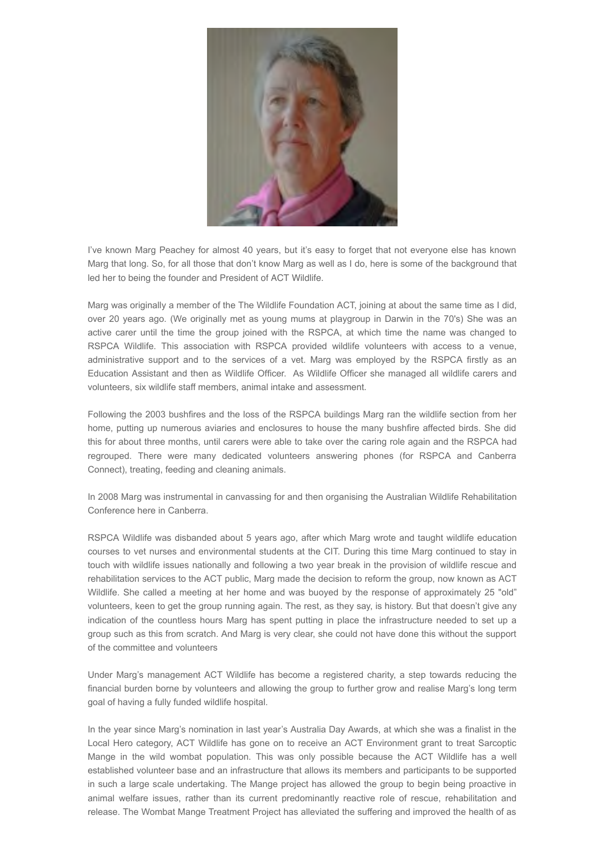![](_page_10_Picture_0.jpeg)

I've known Marg Peachey for almost 40 years, but it's easy to forget that not everyone else has known Marg that long. So, for all those that don't know Marg as well as I do, here is some of the background that led her to being the founder and President of ACT Wildlife.

Marg was originally a member of the The Wildlife Foundation ACT, joining at about the same time as I did, over 20 years ago. (We originally met as young mums at playgroup in Darwin in the 70's) She was an active carer until the time the group joined with the RSPCA, at which time the name was changed to RSPCA Wildlife. This association with RSPCA provided wildlife volunteers with access to a venue, administrative support and to the services of a vet. Marg was employed by the RSPCA firstly as an Education Assistant and then as Wildlife Officer. As Wildlife Officer she managed all wildlife carers and volunteers, six wildlife staff members, animal intake and assessment.

Following the 2003 bushfires and the loss of the RSPCA buildings Marg ran the wildlife section from her home, putting up numerous aviaries and enclosures to house the many bushfire affected birds. She did this for about three months, until carers were able to take over the caring role again and the RSPCA had regrouped. There were many dedicated volunteers answering phones (for RSPCA and Canberra Connect), treating, feeding and cleaning animals.

In 2008 Marg was instrumental in canvassing for and then organising the Australian Wildlife Rehabilitation Conference here in Canberra.

RSPCA Wildlife was disbanded about 5 years ago, after which Marg wrote and taught wildlife education courses to vet nurses and environmental students at the CIT. During this time Marg continued to stay in touch with wildlife issues nationally and following a two year break in the provision of wildlife rescue and rehabilitation services to the ACT public, Marg made the decision to reform the group, now known as ACT Wildlife. She called a meeting at her home and was buoyed by the response of approximately 25 "old" volunteers, keen to get the group running again. The rest, as they say, is history. But that doesn't give any indication of the countless hours Marg has spent putting in place the infrastructure needed to set up a group such as this from scratch. And Marg is very clear, she could not have done this without the support of the committee and volunteers

Under Marg's management ACT Wildlife has become a registered charity, a step towards reducing the financial burden borne by volunteers and allowing the group to further grow and realise Marg's long term goal of having a fully funded wildlife hospital.

In the year since Marg's nomination in last year's Australia Day Awards, at which she was a finalist in the Local Hero category, ACT Wildlife has gone on to receive an ACT Environment grant to treat Sarcoptic Mange in the wild wombat population. This was only possible because the ACT Wildlife has a well established volunteer base and an infrastructure that allows its members and participants to be supported in such a large scale undertaking. The Mange project has allowed the group to begin being proactive in animal welfare issues, rather than its current predominantly reactive role of rescue, rehabilitation and release. The Wombat Mange Treatment Project has alleviated the suffering and improved the health of as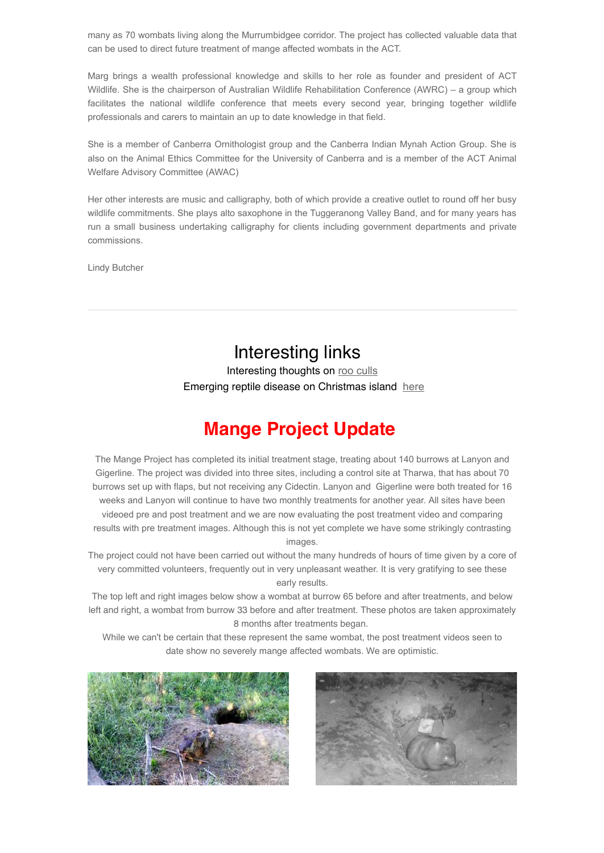many as 70 wombats living along the Murrumbidgee corridor. The project has collected valuable data that can be used to direct future treatment of mange affected wombats in the ACT.

Marg brings a wealth professional knowledge and skills to her role as founder and president of ACT Wildlife. She is the chairperson of Australian Wildlife Rehabilitation Conference (AWRC) – a group which facilitates the national wildlife conference that meets every second year, bringing together wildlife professionals and carers to maintain an up to date knowledge in that field.

She is a member of Canberra Ornithologist group and the Canberra Indian Mynah Action Group. She is also on the Animal Ethics Committee for the University of Canberra and is a member of the ACT Animal Welfare Advisory Committee (AWAC)

Her other interests are music and calligraphy, both of which provide a creative outlet to round off her busy wildlife commitments. She plays alto saxophone in the Tuggeranong Valley Band, and for many years has run a small business undertaking calligraphy for clients including government departments and private commissions.

Lindy Butcher

#### Interesting links

Interesting thoughts on [roo culls](http://www.abc.net.au/news/2017-09-10/cull-kangaroos-and-eat-their-meat-scientist-urges/8887432) Emerging reptile disease on Christmas island [here](http://journals.plos.org/plosone/article?id=10.1371/journal.pone.0181240)

## **Mange Project Update**

The Mange Project has completed its initial treatment stage, treating about 140 burrows at Lanyon and Gigerline. The project was divided into three sites, including a control site at Tharwa, that has about 70 burrows set up with flaps, but not receiving any Cidectin. Lanyon and Gigerline were both treated for 16 weeks and Lanyon will continue to have two monthly treatments for another year. All sites have been videoed pre and post treatment and we are now evaluating the post treatment video and comparing results with pre treatment images. Although this is not yet complete we have some strikingly contrasting images.

The project could not have been carried out without the many hundreds of hours of time given by a core of very committed volunteers, frequently out in very unpleasant weather. It is very gratifying to see these early results.

The top left and right images below show a wombat at burrow 65 before and after treatments, and below left and right, a wombat from burrow 33 before and after treatment. These photos are taken approximately 8 months after treatments began.

While we can't be certain that these represent the same wombat, the post treatment videos seen to date show no severely mange affected wombats. We are optimistic.

![](_page_11_Picture_12.jpeg)

![](_page_11_Picture_13.jpeg)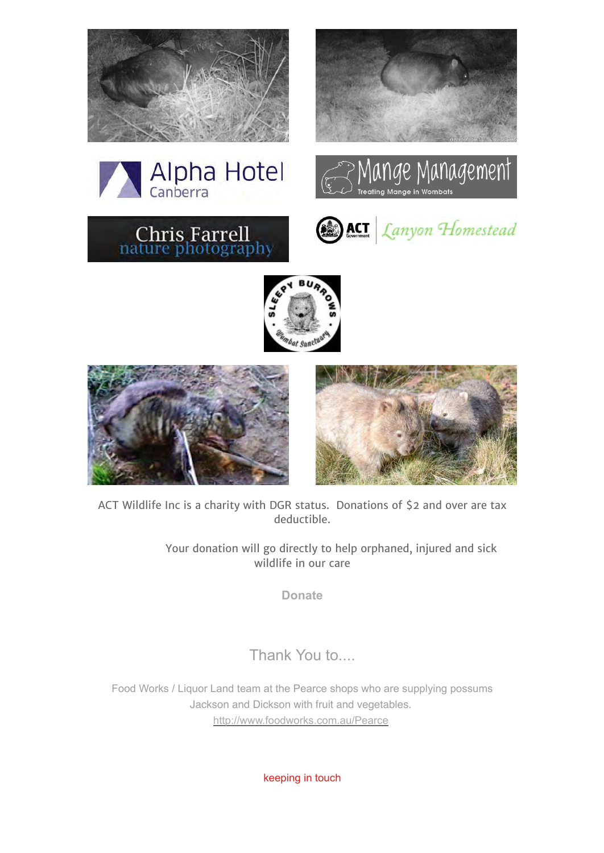![](_page_12_Picture_0.jpeg)

![](_page_12_Picture_1.jpeg)

![](_page_12_Picture_2.jpeg)

![](_page_12_Picture_3.jpeg)

![](_page_12_Picture_4.jpeg)

![](_page_12_Picture_5.jpeg)

![](_page_12_Picture_6.jpeg)

ACT Wildlife Inc is a charity with DGR status. Donations of \$2 and over are tax deductible.

> Your donation will go directly to help orphaned, injured and sick wildlife in our care

> > **[Donate](http://actwildlife.net/donation-info.html)**

Thank You to....

Food Works / Liquor Land team at the Pearce shops who are supplying possums Jackson and Dickson with fruit and vegetables. <http://www.foodworks.com.au/Pearce>

keeping in touch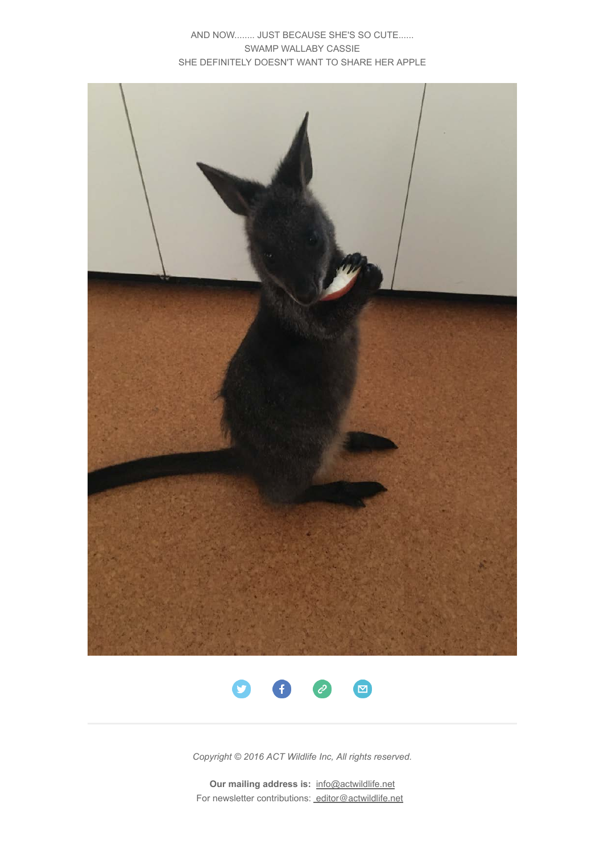AND NOW........ JUST BECAUSE SHE'S SO CUTE...... SWAMP WALLABY CASSIE SHE DEFINITELY DOESN'T WANT TO SHARE HER APPLE

![](_page_13_Picture_1.jpeg)

![](_page_13_Picture_2.jpeg)

*Copyright © 2016 ACT Wildlife Inc, All rights reserved.*

**Our mailing address is: info@actwildlife.net** For newsletter contributions: [editor@actwildlife.net](mailto:editor@actwildlife.net)